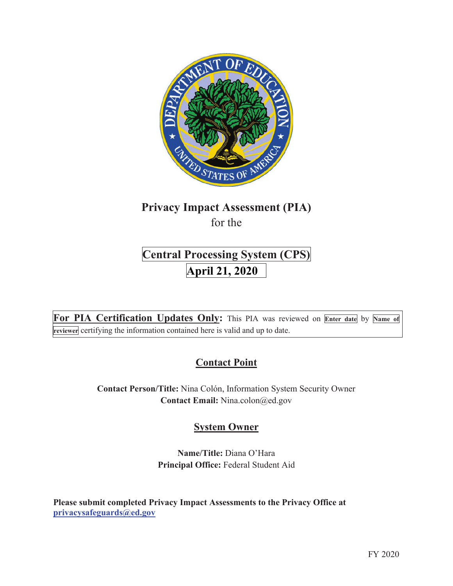

# **Privacy Impact Assessment (PIA)**  for the

# **Central Processing System (CPS) April 21, 2020**

**For PIA Certification Updates Only:** This PIA was reviewed on **Enter date** by **Name of reviewer** certifying the information contained here is valid and up to date.

# **Contact Point**

**Contact Person/Title:** Nina Colón, Information System Security Owner **Contact Email:** Nina.colon@ed.gov

## **System Owner**

**Name/Title:** Diana O'Hara **Principal Office:** Federal Student Aid

**Please submit completed Privacy Impact Assessments to the Privacy Office at privacysafeguards@ed.gov**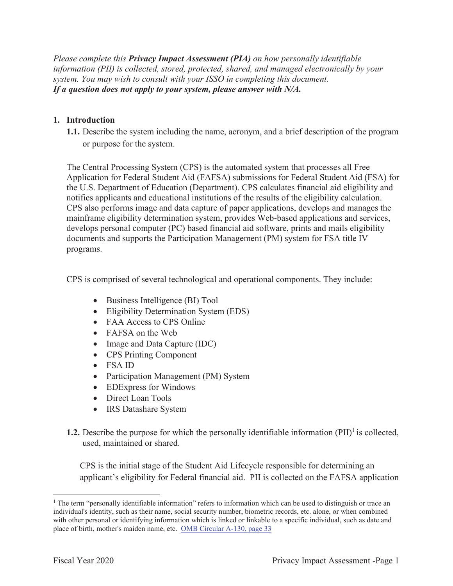*Please complete this Privacy Impact Assessment (PIA) on how personally identifiable information (PII) is collected, stored, protected, shared, and managed electronically by your system. You may wish to consult with your ISSO in completing this document. If a question does not apply to your system, please answer with N/A.*

## **1. Introduction**

**1.1.** Describe the system including the name, acronym, and a brief description of the program or purpose for the system.

The Central Processing System (CPS) is the automated system that processes all Free Application for Federal Student Aid (FAFSA) submissions for Federal Student Aid (FSA) for the U.S. Department of Education (Department). CPS calculates financial aid eligibility and notifies applicants and educational institutions of the results of the eligibility calculation. CPS also performs image and data capture of paper applications, develops and manages the mainframe eligibility determination system, provides Web-based applications and services, develops personal computer (PC) based financial aid software, prints and mails eligibility documents and supports the Participation Management (PM) system for FSA title IV programs.

CPS is comprised of several technological and operational components. They include:

- Business Intelligence (BI) Tool
- Eligibility Determination System (EDS)
- FAA Access to CPS Online
- FAFSA on the Web
- Image and Data Capture (IDC)
- CPS Printing Component
- FSA ID
- Participation Management (PM) System
- EDExpress for Windows
- Direct Loan Tools
- IRS Datashare System
- **1.2.** Describe the purpose for which the personally identifiable information  $(PII)^{1}$  is collected, used, maintained or shared.

CPS is the initial stage of the Student Aid Lifecycle responsible for determining an applicant's eligibility for Federal financial aid. PII is collected on the FAFSA application

<sup>&</sup>lt;sup>1</sup> The term "personally identifiable information" refers to information which can be used to distinguish or trace an individual's identity, such as their name, social security number, biometric records, etc. alone, or when combined with other personal or identifying information which is linked or linkable to a specific individual, such as date and place of birth, mother's maiden name, etc. OMB Circular A-130, page 33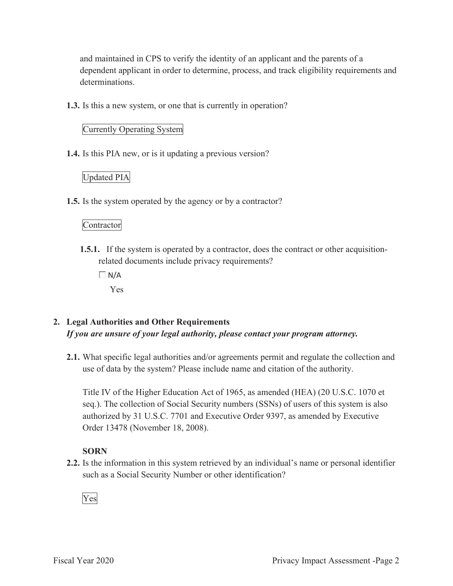and maintained in CPS to verify the identity of an applicant and the parents of a dependent applicant in order to determine, process, and track eligibility requirements and determinations.

**1.3.** Is this a new system, or one that is currently in operation?

## Currently Operating System

**1.4.** Is this PIA new, or is it updating a previous version?

## Updated PIA

**1.5.** Is the system operated by the agency or by a contractor?

## Contractor

**1.5.1.** If the system is operated by a contractor, does the contract or other acquisitionrelated documents include privacy requirements?

 $\Box$  N/A

Yes

## **2. Legal Authorities and Other Requirements**  *If you are unsure of your legal authority, please contact your program attorney.*

**2.1.** What specific legal authorities and/or agreements permit and regulate the collection and use of data by the system? Please include name and citation of the authority.

Title IV of the Higher Education Act of 1965, as amended (HEA) (20 U.S.C. 1070 et seq.). The collection of Social Security numbers (SSNs) of users of this system is also authorized by 31 U.S.C. 7701 and Executive Order 9397, as amended by Executive Order 13478 (November 18, 2008).

## **SORN**

**2.2.** Is the information in this system retrieved by an individual's name or personal identifier such as a Social Security Number or other identification?

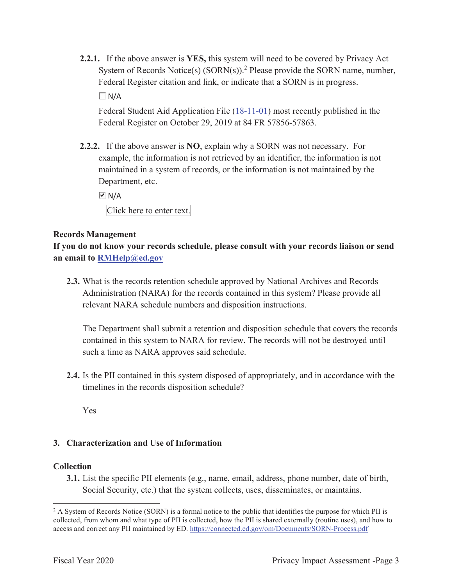**2.2.1.** If the above answer is **YES,** this system will need to be covered by Privacy Act System of Records Notice(s)  $(SORN(s))$ .<sup>2</sup> Please provide the SORN name, number, Federal Register citation and link, or indicate that a SORN is in progress.

 $\Box$  N/A

Federal Student Aid Application File (18-11-01) most recently published in the Federal Register on October 29, 2019 at 84 FR 57856-57863.

**2.2.2.** If the above answer is **NO**, explain why a SORN was not necessary. For example, the information is not retrieved by an identifier, the information is not maintained in a system of records, or the information is not maintained by the Department, etc.

 $\overline{M}$  N/A

Click here to enter text.

#### **Records Management**

**If you do not know your records schedule, please consult with your records liaison or send an email to RMHelp@ed.gov**

**2.3.** What is the records retention schedule approved by National Archives and Records Administration (NARA) for the records contained in this system? Please provide all relevant NARA schedule numbers and disposition instructions.

The Department shall submit a retention and disposition schedule that covers the records contained in this system to NARA for review. The records will not be destroyed until such a time as NARA approves said schedule.

**2.4.** Is the PII contained in this system disposed of appropriately, and in accordance with the timelines in the records disposition schedule?

Yes

## **3. Characterization and Use of Information**

#### **Collection**

**3.1.** List the specific PII elements (e.g., name, email, address, phone number, date of birth, Social Security, etc.) that the system collects, uses, disseminates, or maintains.

<sup>&</sup>lt;sup>2</sup> A System of Records Notice (SORN) is a formal notice to the public that identifies the purpose for which PII is collected, from whom and what type of PII is collected, how the PII is shared externally (routine uses), and how to access and correct any PII maintained by ED. https://connected.ed.gov/om/Documents/SORN-Process.pdf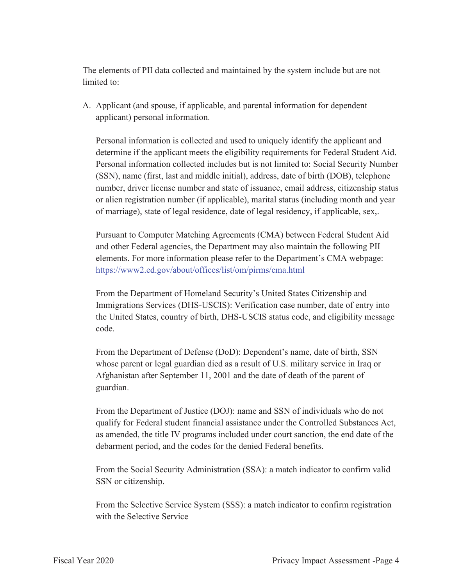The elements of PII data collected and maintained by the system include but are not limited to:

A. Applicant (and spouse, if applicable, and parental information for dependent applicant) personal information.

Personal information is collected and used to uniquely identify the applicant and determine if the applicant meets the eligibility requirements for Federal Student Aid. Personal information collected includes but is not limited to: Social Security Number (SSN), name (first, last and middle initial), address, date of birth (DOB), telephone number, driver license number and state of issuance, email address, citizenship status or alien registration number (if applicable), marital status (including month and year of marriage), state of legal residence, date of legal residency, if applicable, sex,.

Pursuant to Computer Matching Agreements (CMA) between Federal Student Aid and other Federal agencies, the Department may also maintain the following PII elements. For more information please refer to the Department's CMA webpage: https://www2.ed.gov/about/offices/list/om/pirms/cma.html

From the Department of Homeland Security's United States Citizenship and Immigrations Services (DHS-USCIS): Verification case number, date of entry into the United States, country of birth, DHS-USCIS status code, and eligibility message code.

From the Department of Defense (DoD): Dependent's name, date of birth, SSN whose parent or legal guardian died as a result of U.S. military service in Iraq or Afghanistan after September 11, 2001 and the date of death of the parent of guardian.

From the Department of Justice (DOJ): name and SSN of individuals who do not qualify for Federal student financial assistance under the Controlled Substances Act, as amended, the title IV programs included under court sanction, the end date of the debarment period, and the codes for the denied Federal benefits.

From the Social Security Administration (SSA): a match indicator to confirm valid SSN or citizenship.

From the Selective Service System (SSS): a match indicator to confirm registration with the Selective Service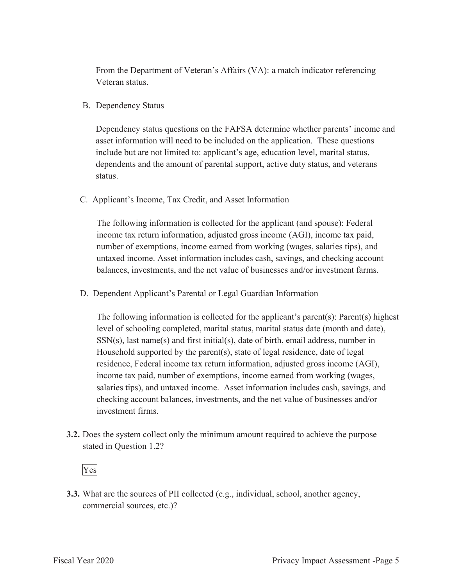From the Department of Veteran's Affairs (VA): a match indicator referencing Veteran status.

B. Dependency Status

Dependency status questions on the FAFSA determine whether parents' income and asset information will need to be included on the application. These questions include but are not limited to: applicant's age, education level, marital status, dependents and the amount of parental support, active duty status, and veterans status.

C. Applicant's Income, Tax Credit, and Asset Information

The following information is collected for the applicant (and spouse): Federal income tax return information, adjusted gross income (AGI), income tax paid, number of exemptions, income earned from working (wages, salaries tips), and untaxed income. Asset information includes cash, savings, and checking account balances, investments, and the net value of businesses and/or investment farms.

D. Dependent Applicant's Parental or Legal Guardian Information

The following information is collected for the applicant's parent(s): Parent(s) highest level of schooling completed, marital status, marital status date (month and date),  $SSN(s)$ , last name $(s)$  and first initial $(s)$ , date of birth, email address, number in Household supported by the parent(s), state of legal residence, date of legal residence, Federal income tax return information, adjusted gross income (AGI), income tax paid, number of exemptions, income earned from working (wages, salaries tips), and untaxed income. Asset information includes cash, savings, and checking account balances, investments, and the net value of businesses and/or investment firms.

**3.2.** Does the system collect only the minimum amount required to achieve the purpose stated in Question 1.2?

## Yes

**3.3.** What are the sources of PII collected (e.g., individual, school, another agency, commercial sources, etc.)?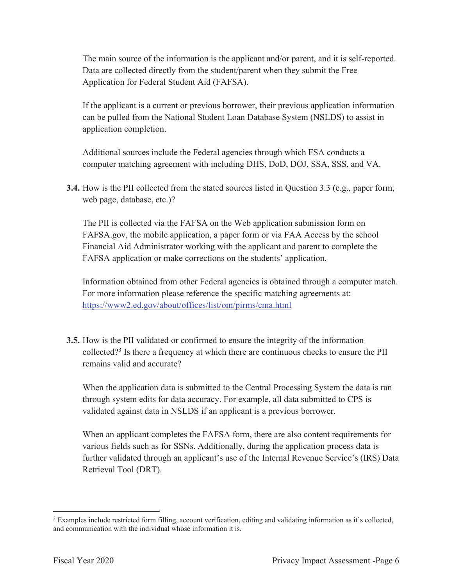The main source of the information is the applicant and/or parent, and it is self-reported. Data are collected directly from the student/parent when they submit the Free Application for Federal Student Aid (FAFSA).

If the applicant is a current or previous borrower, their previous application information can be pulled from the National Student Loan Database System (NSLDS) to assist in application completion.

Additional sources include the Federal agencies through which FSA conducts a computer matching agreement with including DHS, DoD, DOJ, SSA, SSS, and VA.

**3.4.** How is the PII collected from the stated sources listed in Question 3.3 (e.g., paper form, web page, database, etc.)?

The PII is collected via the FAFSA on the Web application submission form on FAFSA.gov, the mobile application, a paper form or via FAA Access by the school Financial Aid Administrator working with the applicant and parent to complete the FAFSA application or make corrections on the students' application.

Information obtained from other Federal agencies is obtained through a computer match. For more information please reference the specific matching agreements at: https://www2.ed.gov/about/offices/list/om/pirms/cma.html

**3.5.** How is the PII validated or confirmed to ensure the integrity of the information collected?<sup>3</sup> Is there a frequency at which there are continuous checks to ensure the PII remains valid and accurate?

When the application data is submitted to the Central Processing System the data is ran through system edits for data accuracy. For example, all data submitted to CPS is validated against data in NSLDS if an applicant is a previous borrower.

When an applicant completes the FAFSA form, there are also content requirements for various fields such as for SSNs. Additionally, during the application process data is further validated through an applicant's use of the Internal Revenue Service's (IRS) Data Retrieval Tool (DRT).

<sup>&</sup>lt;sup>3</sup> Examples include restricted form filling, account verification, editing and validating information as it's collected, and communication with the individual whose information it is.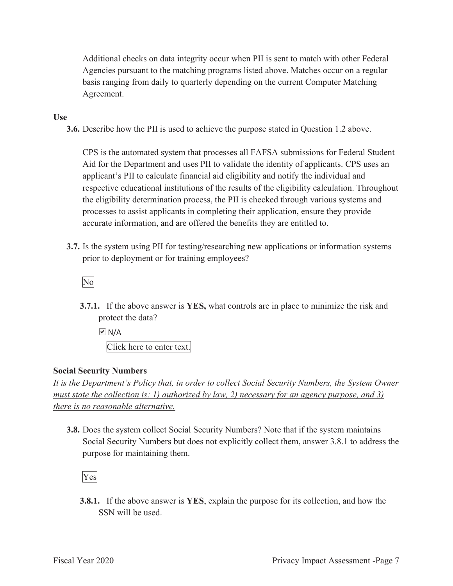Additional checks on data integrity occur when PII is sent to match with other Federal Agencies pursuant to the matching programs listed above. Matches occur on a regular basis ranging from daily to quarterly depending on the current Computer Matching Agreement.

#### **Use**

**3.6.** Describe how the PII is used to achieve the purpose stated in Question 1.2 above.

CPS is the automated system that processes all FAFSA submissions for Federal Student Aid for the Department and uses PII to validate the identity of applicants. CPS uses an applicant's PII to calculate financial aid eligibility and notify the individual and respective educational institutions of the results of the eligibility calculation. Throughout the eligibility determination process, the PII is checked through various systems and processes to assist applicants in completing their application, ensure they provide accurate information, and are offered the benefits they are entitled to.

**3.7.** Is the system using PII for testing/researching new applications or information systems prior to deployment or for training employees?

No

**3.7.1.** If the above answer is **YES,** what controls are in place to minimize the risk and protect the data?

 $\overline{V}$  N/A Click here to enter text.

#### **Social Security Numbers**

*It is the Department's Policy that, in order to collect Social Security Numbers, the System Owner must state the collection is: 1) authorized by law, 2) necessary for an agency purpose, and 3) there is no reasonable alternative.* 

**3.8.** Does the system collect Social Security Numbers? Note that if the system maintains Social Security Numbers but does not explicitly collect them, answer 3.8.1 to address the purpose for maintaining them.

Yes

**3.8.1.** If the above answer is **YES**, explain the purpose for its collection, and how the SSN will be used.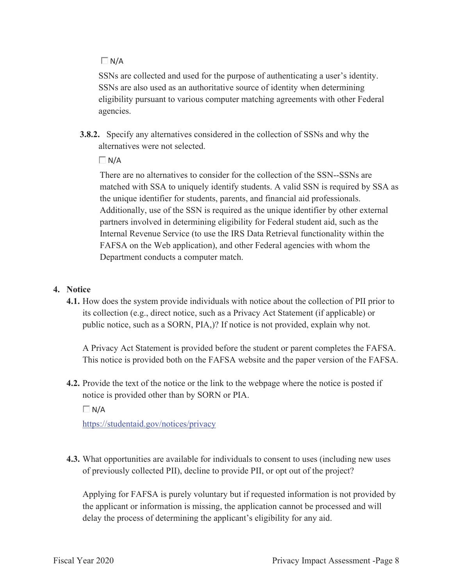$\Box$  N/A

SSNs are collected and used for the purpose of authenticating a user's identity. SSNs are also used as an authoritative source of identity when determining eligibility pursuant to various computer matching agreements with other Federal agencies.

**3.8.2.** Specify any alternatives considered in the collection of SSNs and why the alternatives were not selected.

 $\Box$  N/A

There are no alternatives to consider for the collection of the SSN--SSNs are matched with SSA to uniquely identify students. A valid SSN is required by SSA as the unique identifier for students, parents, and financial aid professionals. Additionally, use of the SSN is required as the unique identifier by other external partners involved in determining eligibility for Federal student aid, such as the Internal Revenue Service (to use the IRS Data Retrieval functionality within the FAFSA on the Web application), and other Federal agencies with whom the Department conducts a computer match.

#### **4. Notice**

**4.1.** How does the system provide individuals with notice about the collection of PII prior to its collection (e.g., direct notice, such as a Privacy Act Statement (if applicable) or public notice, such as a SORN, PIA,)? If notice is not provided, explain why not.

A Privacy Act Statement is provided before the student or parent completes the FAFSA. This notice is provided both on the FAFSA website and the paper version of the FAFSA.

**4.2.** Provide the text of the notice or the link to the webpage where the notice is posted if notice is provided other than by SORN or PIA.

 $\Box N/A$ 

https://studentaid.gov/notices/privacy

**4.3.** What opportunities are available for individuals to consent to uses (including new uses of previously collected PII), decline to provide PII, or opt out of the project?

Applying for FAFSA is purely voluntary but if requested information is not provided by the applicant or information is missing, the application cannot be processed and will delay the process of determining the applicant's eligibility for any aid.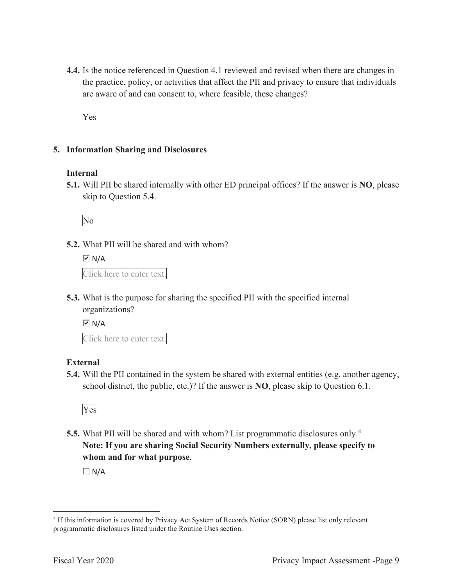**4.4.** Is the notice referenced in Question 4.1 reviewed and revised when there are changes in the practice, policy, or activities that affect the PII and privacy to ensure that individuals are aware of and can consent to, where feasible, these changes?

Yes

#### **5. Information Sharing and Disclosures**

#### **Internal**

**5.1.** Will PII be shared internally with other ED principal offices? If the answer is **NO**, please skip to Question 5.4.

No

**5.2.** What PII will be shared and with whom?

 $\overline{M}$  N/A Click here to enter text.

**5.3.** What is the purpose for sharing the specified PII with the specified internal organizations?

 $\overline{M}$  N/A

Click here to enter text.

## **External**

**5.4.** Will the PII contained in the system be shared with external entities (e.g. another agency, school district, the public, etc.)? If the answer is **NO**, please skip to Question 6.1.



**5.5.** What PII will be shared and with whom? List programmatic disclosures only.<sup>4</sup> **Note: If you are sharing Social Security Numbers externally, please specify to whom and for what purpose**.

 $\Box$  N/A

<sup>4</sup> If this information is covered by Privacy Act System of Records Notice (SORN) please list only relevant programmatic disclosures listed under the Routine Uses section.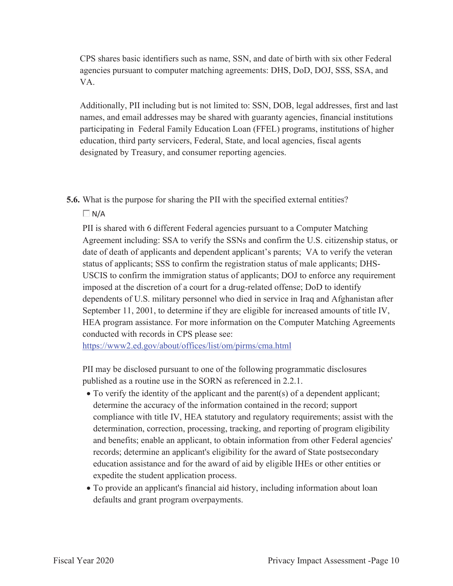CPS shares basic identifiers such as name, SSN, and date of birth with six other Federal agencies pursuant to computer matching agreements: DHS, DoD, DOJ, SSS, SSA, and VA.

Additionally, PII including but is not limited to: SSN, DOB, legal addresses, first and last names, and email addresses may be shared with guaranty agencies, financial institutions participating in Federal Family Education Loan (FFEL) programs, institutions of higher education, third party servicers, Federal, State, and local agencies, fiscal agents designated by Treasury, and consumer reporting agencies.

**5.6.** What is the purpose for sharing the PII with the specified external entities?

 $\Box$  N/A

PII is shared with 6 different Federal agencies pursuant to a Computer Matching Agreement including: SSA to verify the SSNs and confirm the U.S. citizenship status, or date of death of applicants and dependent applicant's parents; VA to verify the veteran status of applicants; SSS to confirm the registration status of male applicants; DHS-USCIS to confirm the immigration status of applicants; DOJ to enforce any requirement imposed at the discretion of a court for a drug-related offense; DoD to identify dependents of U.S. military personnel who died in service in Iraq and Afghanistan after September 11, 2001, to determine if they are eligible for increased amounts of title IV, HEA program assistance. For more information on the Computer Matching Agreements conducted with records in CPS please see:

https://www2.ed.gov/about/offices/list/om/pirms/cma.html

PII may be disclosed pursuant to one of the following programmatic disclosures published as a routine use in the SORN as referenced in 2.2.1.

- To verify the identity of the applicant and the parent(s) of a dependent applicant; determine the accuracy of the information contained in the record; support compliance with title IV, HEA statutory and regulatory requirements; assist with the determination, correction, processing, tracking, and reporting of program eligibility and benefits; enable an applicant, to obtain information from other Federal agencies' records; determine an applicant's eligibility for the award of State postsecondary education assistance and for the award of aid by eligible IHEs or other entities or expedite the student application process.
- To provide an applicant's financial aid history, including information about loan defaults and grant program overpayments.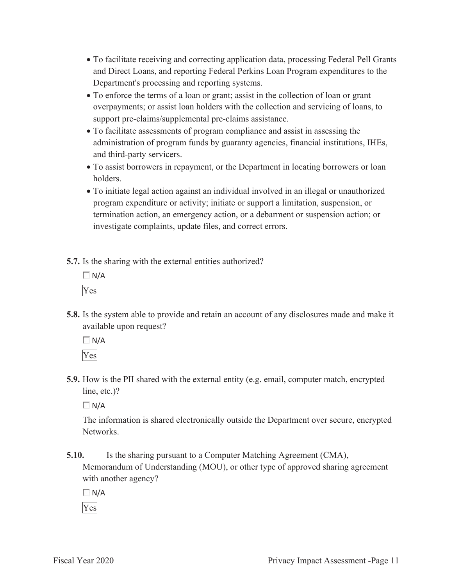- To facilitate receiving and correcting application data, processing Federal Pell Grants and Direct Loans, and reporting Federal Perkins Loan Program expenditures to the Department's processing and reporting systems.
- To enforce the terms of a loan or grant; assist in the collection of loan or grant overpayments; or assist loan holders with the collection and servicing of loans, to support pre-claims/supplemental pre-claims assistance.
- To facilitate assessments of program compliance and assist in assessing the administration of program funds by guaranty agencies, financial institutions, IHEs, and third-party servicers.
- To assist borrowers in repayment, or the Department in locating borrowers or loan holders.
- To initiate legal action against an individual involved in an illegal or unauthorized program expenditure or activity; initiate or support a limitation, suspension, or termination action, an emergency action, or a debarment or suspension action; or investigate complaints, update files, and correct errors.
- **5.7.** Is the sharing with the external entities authorized?
	- $\Box$  N/A Yes
- **5.8.** Is the system able to provide and retain an account of any disclosures made and make it available upon request?

 $\Box$  N/A Yes

**5.9.** How is the PII shared with the external entity (e.g. email, computer match, encrypted line, etc.)?

 $\Box$  N/A

The information is shared electronically outside the Department over secure, encrypted Networks.

**5.10.** Is the sharing pursuant to a Computer Matching Agreement (CMA), Memorandum of Understanding (MOU), or other type of approved sharing agreement with another agency?

 $\Box$  N/A

Yes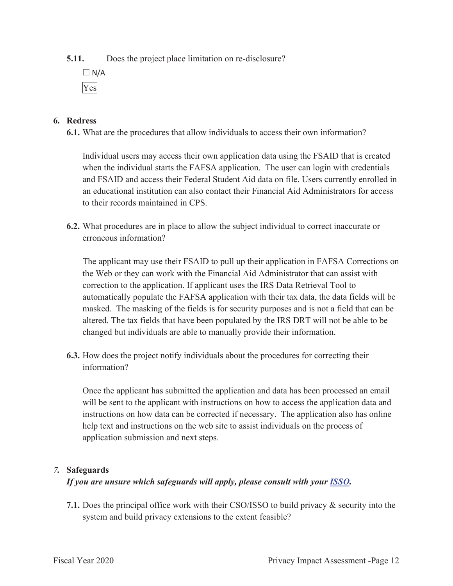**5.11.** Does the project place limitation on re-disclosure?

 $\Box$  N/A Yes

## **6. Redress**

**6.1.** What are the procedures that allow individuals to access their own information?

Individual users may access their own application data using the FSAID that is created when the individual starts the FAFSA application. The user can login with credentials and FSAID and access their Federal Student Aid data on file. Users currently enrolled in an educational institution can also contact their Financial Aid Administrators for access to their records maintained in CPS.

**6.2.** What procedures are in place to allow the subject individual to correct inaccurate or erroneous information?

The applicant may use their FSAID to pull up their application in FAFSA Corrections on the Web or they can work with the Financial Aid Administrator that can assist with correction to the application. If applicant uses the IRS Data Retrieval Tool to automatically populate the FAFSA application with their tax data, the data fields will be masked. The masking of the fields is for security purposes and is not a field that can be altered. The tax fields that have been populated by the IRS DRT will not be able to be changed but individuals are able to manually provide their information.

**6.3.** How does the project notify individuals about the procedures for correcting their information?

Once the applicant has submitted the application and data has been processed an email will be sent to the applicant with instructions on how to access the application data and instructions on how data can be corrected if necessary. The application also has online help text and instructions on the web site to assist individuals on the process of application submission and next steps.

## *7.* **Safeguards**

## *If you are unsure which safeguards will apply, please consult with your ISSO.*

**7.1.** Does the principal office work with their CSO/ISSO to build privacy & security into the system and build privacy extensions to the extent feasible?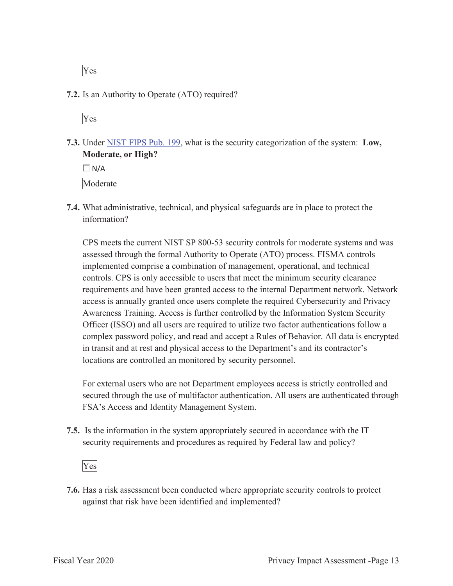Yes

**7.2.** Is an Authority to Operate (ATO) required?

Yes

**7.3.** Under NIST FIPS Pub. 199, what is the security categorization of the system: **Low, Moderate, or High?** 

 $\Box$  N/A Moderate

**7.4.** What administrative, technical, and physical safeguards are in place to protect the information?

CPS meets the current NIST SP 800-53 security controls for moderate systems and was assessed through the formal Authority to Operate (ATO) process. FISMA controls implemented comprise a combination of management, operational, and technical controls. CPS is only accessible to users that meet the minimum security clearance requirements and have been granted access to the internal Department network. Network access is annually granted once users complete the required Cybersecurity and Privacy Awareness Training. Access is further controlled by the Information System Security Officer (ISSO) and all users are required to utilize two factor authentications follow a complex password policy, and read and accept a Rules of Behavior. All data is encrypted in transit and at rest and physical access to the Department's and its contractor's locations are controlled an monitored by security personnel.

For external users who are not Department employees access is strictly controlled and secured through the use of multifactor authentication. All users are authenticated through FSA's Access and Identity Management System.

**7.5.** Is the information in the system appropriately secured in accordance with the IT security requirements and procedures as required by Federal law and policy?

Yes

**7.6.** Has a risk assessment been conducted where appropriate security controls to protect against that risk have been identified and implemented?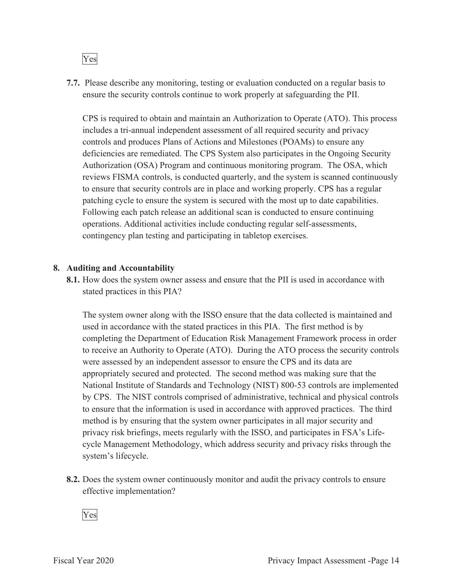

**7.7.** Please describe any monitoring, testing or evaluation conducted on a regular basis to ensure the security controls continue to work properly at safeguarding the PII.

CPS is required to obtain and maintain an Authorization to Operate (ATO). This process includes a tri-annual independent assessment of all required security and privacy controls and produces Plans of Actions and Milestones (POAMs) to ensure any deficiencies are remediated. The CPS System also participates in the Ongoing Security Authorization (OSA) Program and continuous monitoring program. The OSA, which reviews FISMA controls, is conducted quarterly, and the system is scanned continuously to ensure that security controls are in place and working properly. CPS has a regular patching cycle to ensure the system is secured with the most up to date capabilities. Following each patch release an additional scan is conducted to ensure continuing operations. Additional activities include conducting regular self-assessments, contingency plan testing and participating in tabletop exercises.

#### **8. Auditing and Accountability**

**8.1.** How does the system owner assess and ensure that the PII is used in accordance with stated practices in this PIA?

The system owner along with the ISSO ensure that the data collected is maintained and used in accordance with the stated practices in this PIA. The first method is by completing the Department of Education Risk Management Framework process in order to receive an Authority to Operate (ATO). During the ATO process the security controls were assessed by an independent assessor to ensure the CPS and its data are appropriately secured and protected. The second method was making sure that the National Institute of Standards and Technology (NIST) 800-53 controls are implemented by CPS. The NIST controls comprised of administrative, technical and physical controls to ensure that the information is used in accordance with approved practices. The third method is by ensuring that the system owner participates in all major security and privacy risk briefings, meets regularly with the ISSO, and participates in FSA's Lifecycle Management Methodology, which address security and privacy risks through the system's lifecycle.

**8.2.** Does the system owner continuously monitor and audit the privacy controls to ensure effective implementation?

Yes